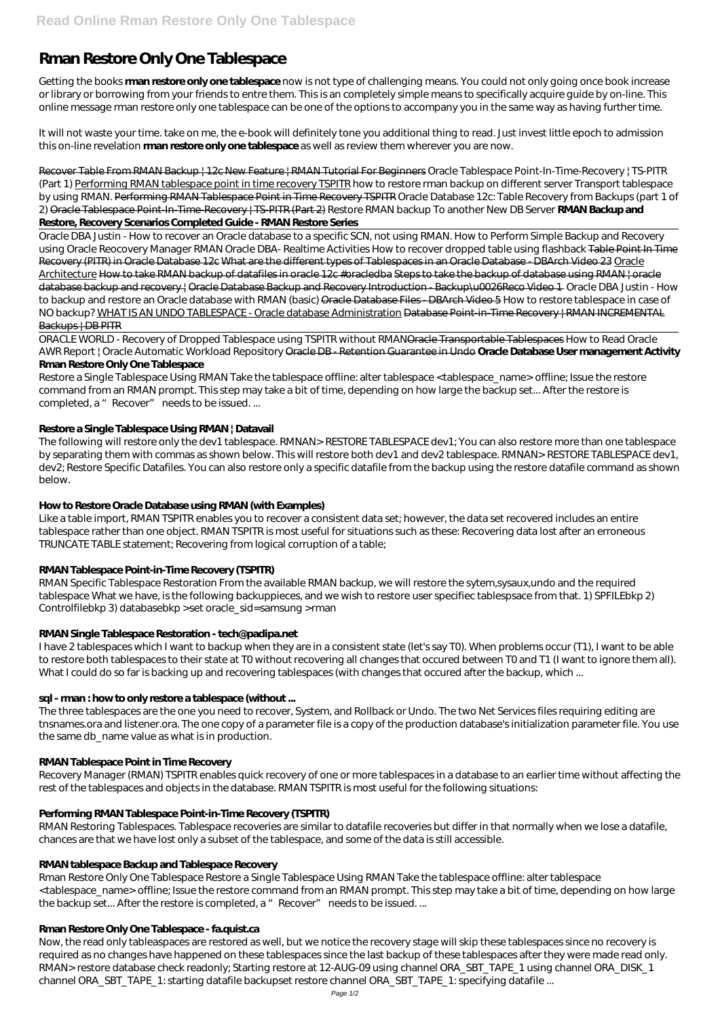# **Rman Restore Only One Tablespace**

Getting the books **rman restore only one tablespace** now is not type of challenging means. You could not only going once book increase or library or borrowing from your friends to entre them. This is an completely simple means to specifically acquire guide by on-line. This online message rman restore only one tablespace can be one of the options to accompany you in the same way as having further time.

It will not waste your time. take on me, the e-book will definitely tone you additional thing to read. Just invest little epoch to admission this on-line revelation **rman restore only one tablespace** as well as review them wherever you are now.

Recover Table From RMAN Backup +12c New Feature + RMAN Tutorial For Beginners *Oracle Tablespace Point-In-Time-Recovery | TS-PITR (Part 1)* Performing RMAN tablespace point in time recovery TSPITR how to restore rman backup on different server *Transport tablespace by using RMAN.* Performing RMAN Tablespace Point in Time Recovery TSPITR Oracle Database 12c: Table Recovery from Backups (part 1 of 2) Oracle Tablespace Point-In-Time-Recovery | TS-PITR (Part 2) *Restore RMAN backup To another New DB Server* **RMAN Backup and Restore, Recovery Scenarios Completed Guide - RMAN Restore Series**

Restore a Single Tablespace Using RMAN Take the tablespace offline: alter tablespace <tablespace\_name> offline; Issue the restore command from an RMAN prompt. This step may take a bit of time, depending on how large the backup set... After the restore is completed, a "Recover" needs to be issued....

Oracle DBA Justin - How to recover an Oracle database to a specific SCN, not using RMAN. How to Perform Simple Backup and Recovery using Oracle Reocovery Manager RMAN Oracle DBA- Realtime Activities How to recover dropped table using flashback Table Point In Time Recovery (PITR) in Oracle Database 12c What are the different types of Tablespaces in an Oracle Database - DBArch Video 23 Oracle Architecture How to take RMAN backup of datafiles in oracle 12c #oracledba Steps to take the backup of database using RMAN | oracle database backup and recovery | Oracle Database Backup and Recovery Introduction - Backup\u0026Reco Video 1 Oracle DBA Justin - How to backup and restore an Oracle database with RMAN (basic) Oracle Database Files - DBArch Video 5 *How to restore tablespace in case of NO backup?* WHAT IS AN UNDO TABLESPACE - Oracle database Administration Database Point-in-Time Recovery | RMAN INCREMENTAL Backups | DB PITR

I have 2 tablespaces which I want to backup when they are in a consistent state (let's say T0). When problems occur (T1), I want to be able to restore both tablespaces to their state at T0 without recovering all changes that occured between T0 and T1 (I want to ignore them all). What I could do so far is backing up and recovering tablespaces (with changes that occured after the backup, which ...

ORACLE WORLD - Recovery of Dropped Tablespace using TSPITR without RMANOracle Transportable Tablespaces How to Read Oracle AWR Report | Oracle Automatic Workload Repository Oracle DB - Retention Guarantee in Undo **Oracle Database User management Activity**

## **Rman Restore Only One Tablespace**

Rman Restore Only One Tablespace Restore a Single Tablespace Using RMAN Take the tablespace offline: alter tablespace <tablespace\_name> offline; Issue the restore command from an RMAN prompt. This step may take a bit of time, depending on how large the backup set... After the restore is completed, a " Recover" needs to be issued. ...

# **Restore a Single Tablespace Using RMAN | Datavail**

The following will restore only the dev1 tablespace. RMNAN> RESTORE TABLESPACE dev1; You can also restore more than one tablespace by separating them with commas as shown below. This will restore both dev1 and dev2 tablespace. RMNAN> RESTORE TABLESPACE dev1, dev2; Restore Specific Datafiles. You can also restore only a specific datafile from the backup using the restore datafile command as shown below.

# **How to Restore Oracle Database using RMAN (with Examples)**

Like a table import, RMAN TSPITR enables you to recover a consistent data set; however, the data set recovered includes an entire tablespace rather than one object. RMAN TSPITR is most useful for situations such as these: Recovering data lost after an erroneous TRUNCATE TABLE statement; Recovering from logical corruption of a table;

# **RMAN Tablespace Point-in-Time Recovery (TSPITR)**

RMAN Specific Tablespace Restoration From the available RMAN backup, we will restore the sytem,sysaux,undo and the required tablespace What we have, is the following backuppieces, and we wish to restore user specifiec tablespsace from that. 1) SPFILEbkp 2) Controlfilebkp 3) databasebkp >set oracle\_sid=samsung >rman

# **RMAN Single Tablespace Restoration - tech@padipa.net**

# **sql - rman : how to only restore a tablespace (without ...**

The three tablespaces are the one you need to recover, System, and Rollback or Undo. The two Net Services files requiring editing are tnsnames.ora and listener.ora. The one copy of a parameter file is a copy of the production database's initialization parameter file. You use the same db\_name value as what is in production.

#### **RMAN Tablespace Point in Time Recovery**

Recovery Manager (RMAN) TSPITR enables quick recovery of one or more tablespaces in a database to an earlier time without affecting the rest of the tablespaces and objects in the database. RMAN TSPITR is most useful for the following situations:

## **Performing RMAN Tablespace Point-in-Time Recovery (TSPITR)**

RMAN Restoring Tablespaces. Tablespace recoveries are similar to datafile recoveries but differ in that normally when we lose a datafile, chances are that we have lost only a subset of the tablespace, and some of the data is still accessible.

#### **RMAN tablespace Backup and Tablespace Recovery**

#### **Rman Restore Only One Tablespace - fa.quist.ca**

Now, the read only tableaspaces are restored as well, but we notice the recovery stage will skip these tablespaces since no recovery is required as no changes have happened on these tablespaces since the last backup of these tablespaces after they were made read only. RMAN> restore database check readonly; Starting restore at 12-AUG-09 using channel ORA\_SBT\_TAPE\_1 using channel ORA\_DISK\_1 channel ORA\_SBT\_TAPE\_1: starting datafile backupset restore channel ORA\_SBT\_TAPE\_1: specifying datafile ...